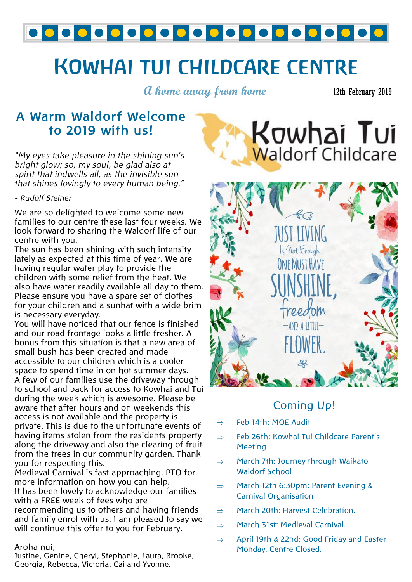

# **KOWHAI TUI CHILDCARE CENTRE**

**A home away from home**

12th February 2019

## **A Warm Waldorf Welcome to 2019 with us!**

*"My eyes take pleasure in the shining sun's bright glow; so, my soul, be glad also at spirit that indwells all, as the invisible sun that shines lovingly to every human being."*

### *- Rudolf Steiner*

We are so delighted to welcome some new families to our centre these last four weeks. We look forward to sharing the Waldorf life of our centre with you.

The sun has been shining with such intensity lately as expected at this time of year. We are having regular water play to provide the children with some relief from the heat. We also have water readily available all day to them. Please ensure you have a spare set of clothes for your children and a sunhat with a wide brim is necessary everyday.

You will have noticed that our fence is finished and our road frontage looks a little fresher. A bonus from this situation is that a new area of small bush has been created and made accessible to our children which is a cooler space to spend time in on hot summer days. A few of our families use the driveway through to school and back for access to Kowhai and Tui during the week which is awesome. Please be aware that after hours and on weekends this access is not available and the property is private. This is due to the unfortunate events of having items stolen from the residents property along the driveway and also the clearing of fruit from the trees in our community garden. Thank you for respecting this.

Medieval Carnival is fast approaching. PTO for more information on how you can help. It has been lovely to acknowledge our families with a FREE week of fees who are recommending us to others and having friends and family enrol with us. I am pleased to say we will continue this offer to you for February.

### Aroha nui,

Justine, Genine, Cheryl, Stephanie, Laura, Brooke, Georgia, Rebecca, Victoria, Cai and Yvonne.





## Coming Up!

- $\Rightarrow$  Feb 14th: MOE Audit
- $\Rightarrow$  Feb 26th: Kowhai Tui Childcare Parent's **Meeting**
- $\Rightarrow$  March 7th: Journey through Waikato Waldorf School
- $\Rightarrow$  March 12th 6:30pm: Parent Evening & Carnival Organisation
- $\Rightarrow$  March 20th: Harvest Celebration.
- $\Rightarrow$  March 31st: Medieval Carnival.
- $\Rightarrow$  April 19th & 22nd: Good Friday and Easter Monday. Centre Closed.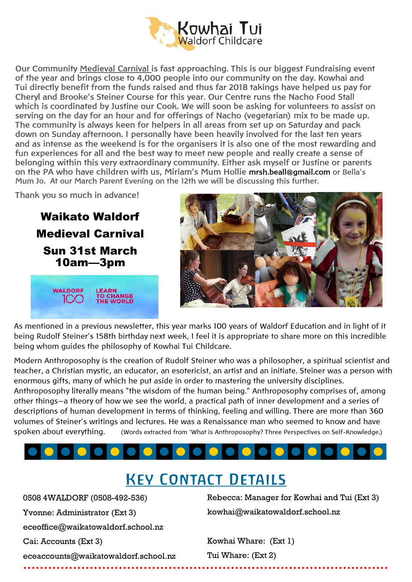

**Our Community Medieval Carnival is fast approaching. This is our biggest Fundraising event of the year and brings close to 4,000 people into our community on the day. Kowhai and Tui directly benefit from the funds raised and thus far 2018 takings have helped us pay for Cheryl and Brooke's Steiner Course for this year. Our Centre runs the Nacho Food Stall which is coordinated by Justine our Cook. We will soon be asking for volunteers to assist on serving on the day for an hour and for offerings of Nacho (vegetarian) mix to be made up. The community is always keen for helpers in all areas from set up on Saturday and pack down on Sunday afternoon. I personally have been heavily involved for the last ten years and as intense as the weekend is for the organisers it is also one of the most rewarding and fun experiences for all and the best way to meet new people and really create a sense of belonging within this very extraordinary community. Either ask myself or Justine or parents on the PA who have children with us, Miriam's Mum Hollie mrsh.beall@gmail.com or Bella's Mum Jo. At our March Parent Evening on the 12th we will be discussing this further.**

**Thank you so much in advance!**

Waikato Waldorf Medieval Carnival Sun 31st March 10am—3pm





As mentioned in a previous newsletter, this year marks 100 years of Waldorf Education and in light of it being Rudolf Steiner's 158th birthday next week, I feel it is appropriate to share more on this incredible being whom guides the philosophy of Kowhai Tui Childcare.

Modern Anthroposophy is the creation of Rudolf Steiner who was a philosopher, a spiritual scientist and teacher, a Christian mystic, an educator, an esotericist, an artist and an initiate. Steiner was a person with enormous gifts, many of which he put aside in order to mastering the university disciplines.

Anthroposophy literally means "the wisdom of the human being." Anthroposophy comprises of, among other things—a theory of how we see the world, a practical path of inner development and a series of descriptions of human development in terms of thinking, feeling and willing. There are more than 360 volumes of Steiner's writings and lectures. He was a Renaissance man who seemed to know and have spoken about everything. (Words extracted from 'What is Anthroposophy? Three Perspectives on Self-Knowledge.)

## **KEY CONTACT DETAILS**

0508 4WALDORF (0508-492-536) Yvonne: Administrator (Ext 3) eceoffice@waikatowaldorf.school.nz Cai: Accounts (Ext 3) eceaccounts@waikatowaldorf.school.nz

Rebecca: Manager for Kowhai and Tui (Ext 3) kowhai@waikatowaldorf.school.nz

Kowhai Whare: (Ext 1) Tui Whare: (Ext 2)